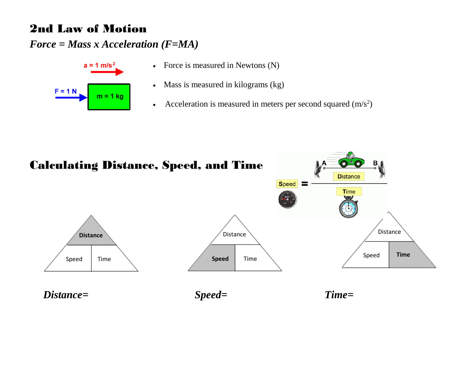## 2nd Law of Motion

*Force = Mass x Acceleration (F=MA)*



- Force is measured in Newtons (N)
- Mass is measured in kilograms (kg)
- Acceleration is measured in meters per second squared  $(m/s<sup>2</sup>)$